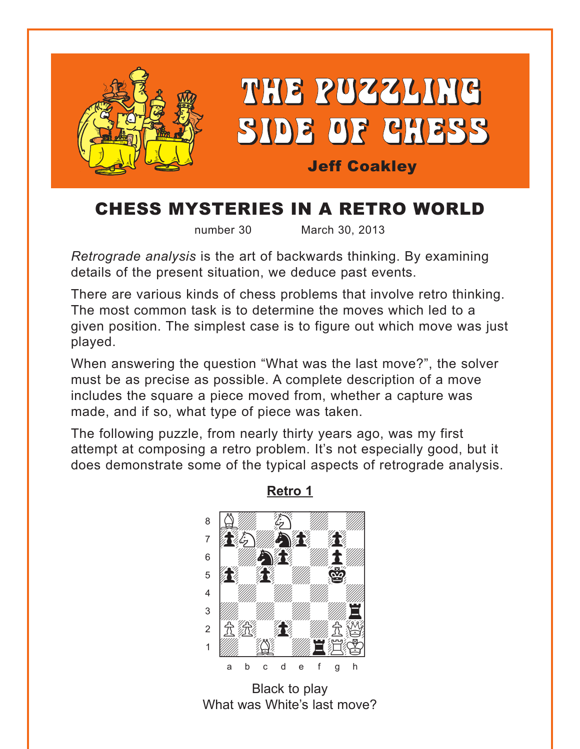<span id="page-0-0"></span>

# CHESS MYSTERIES IN A RETRO WORLD

number 30 March 30, 2013

*Retrograde analysis* is the art of backwards thinking. By examining details of the present situation, we deduce past events.

There are various kinds of chess problems that involve retro thinking. The most common task is to determine the moves which led to a given position. The simplest case is to figure out which move was just played.

When answering the question "What was the last move?", the solver must be as precise as possible. A complete description of a move includes the square a piece moved from, whether a capture was made, and if so, what type of piece was taken.

The following puzzle, from nearly thirty years ago, was my first attempt at composing a retro problem. It's not especially good, but it does demonstrate some of the typical aspects of retrograde analysis.



**[Retro 1](#page-6-0)**

Black to play What was White's last move?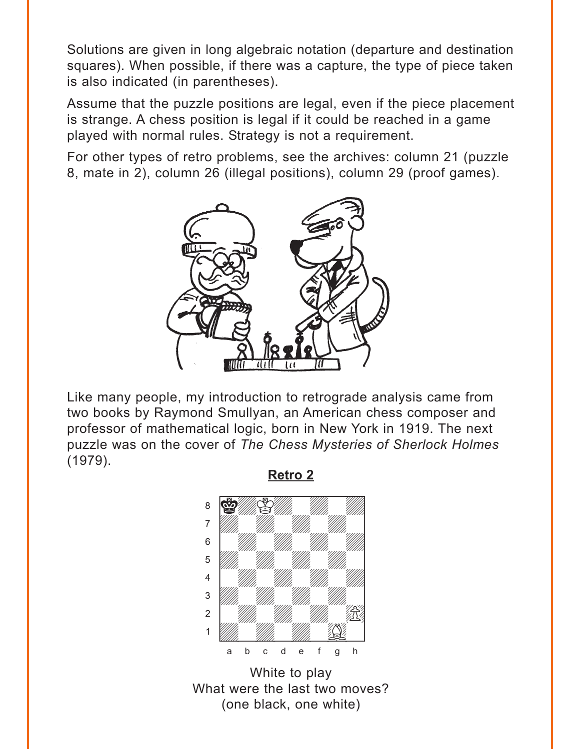<span id="page-1-0"></span>Solutions are given in long algebraic notation (departure and destination squares). When possible, if there was a capture, the type of piece taken is also indicated (in parentheses).

Assume that the puzzle positions are legal, even if the piece placement is strange. A chess position is legal if it could be reached in a game played with normal rules. Strategy is not a requirement.

For other types of retro problems, see the archives: column 21 (puzzle 8, mate in 2), column 26 (illegal positions), column 29 (proof games).



Like many people, my introduction to retrograde analysis came from two books by Raymond Smullyan, an American chess composer and professor of mathematical logic, born in New York in 1919. The next puzzle was on the cover of *The Chess Mysteries of Sherlock Holmes* (1979).

**[Retro 2](#page-7-0)**

where  $\frac{m}{2}$  we have the set of  $\frac{m}{2}$  $\sim$  6  $^{\circ}$  10  $^{\circ}$  10  $^{\circ}$  10  $^{\circ}$  10  $^{\circ}$  10  $^{\circ}$  10  $^{\circ}$ àdwdwdwdw]  $\begin{bmatrix} 6 & 1 \end{bmatrix}$  with  $\begin{bmatrix} 1 & 1 \end{bmatrix}$  with  $\begin{bmatrix} 1 & 1 \end{bmatrix}$  $\overline{\mathcal{L}}$ 4 William William William William  $\frac{1}{\sqrt{2}}$  $\frac{1}{2}$  and  $\frac{1}{2}$  $\frac{1}{\sqrt{2}}$ a b c d e f g h

White to play What were the last two moves? (one black, one white)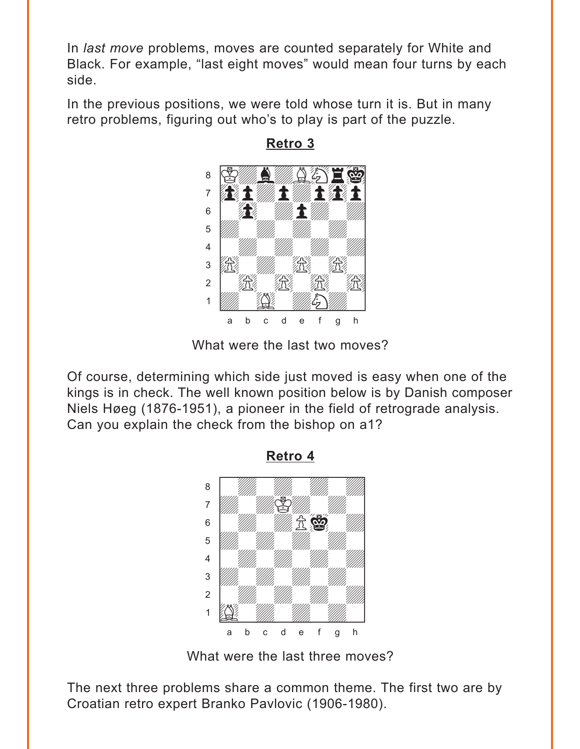<span id="page-2-0"></span>In *last move* problems, moves are counted separately for White and Black. For example, "last eight moves" would mean four turns by each side.

In the previous positions, we were told whose turn it is. But in many retro problems, figuring out who's to play is part of the puzzle.



**[Retro 3](#page-8-0)**

What were the last two moves?

Of course, determining which side just moved is easy when one of the kings is in check. The well known position below is by Danish composer Niels Høeg (1876-1951), a pioneer in the field of retrograde analysis. Can you explain the check from the bishop on a1?



**[Retro 4](#page-9-0)**

What were the last three moves?

The next three problems share a common theme. The first two are by Croatian retro expert Branko Pavlovic (1906-1980).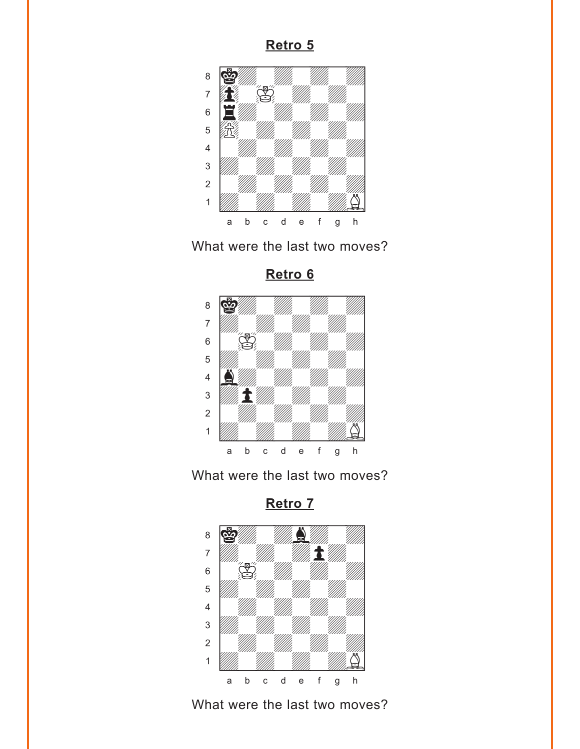<span id="page-3-0"></span>



**[Retro 6](#page-12-0)**







What were the last two moves?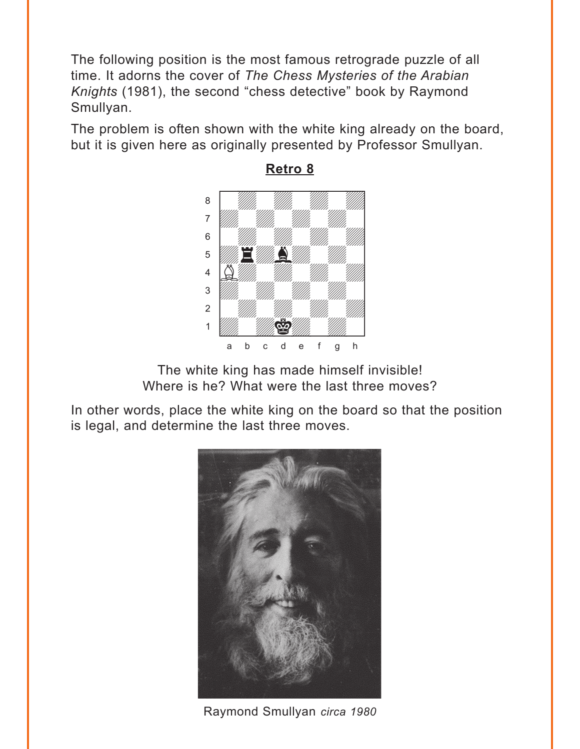<span id="page-4-0"></span>The following position is the most famous retrograde puzzle of all time. It adorns the cover of *The Chess Mysteries of the Arabian Knights* (1981), the second "chess detective" book by Raymond Smullyan.

The problem is often shown with the white king already on the board, but it is given here as originally presented by Professor Smullyan.



**[Retro 8](#page-14-0)**

The white king has made himself invisible! Where is he? What were the last three moves?

In other words, place the white king on the board so that the position is legal, and determine the last three moves.



Raymond Smullyan *circa 1980*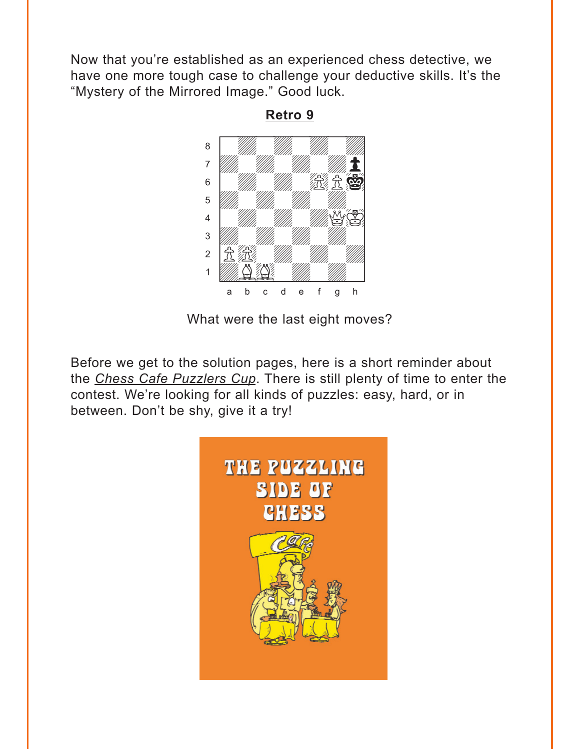<span id="page-5-0"></span>Now that you're established as an experienced chess detective, we have one more tough case to challenge your deductive skills. It's the "Mystery of the Mirrored Image." Good luck.



**[Retro 9](#page-15-0)**

What were the last eight moves?

Before we get to the solution pages, here is a short reminder about the *Chess Cafe Puzzlers Cup*. There is still plenty of time to enter the contest. We're looking for all kinds of puzzles: easy, hard, or in between. Don't be shy, give it a try!

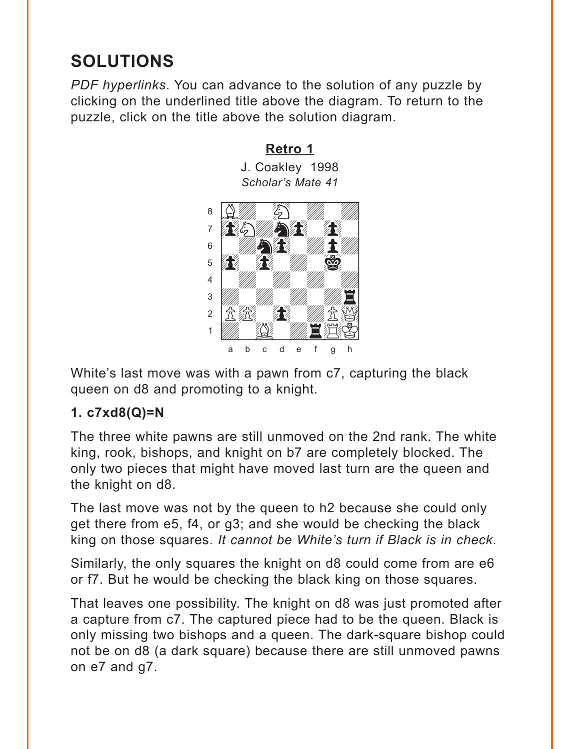# <span id="page-6-0"></span>**SOLUTIONS**

*PDF hyperlinks*. You can advance to the solution of any puzzle by clicking on the underlined title above the diagram. To return to the puzzle, click on the title above the solution diagram.

# **[Retro 1](#page-0-0)**

J. Coakley 1998 *Scholar's Mate 41* 



White's last move was with a pawn from c7, capturing the black queen on d8 and promoting to a knight.

## **1. c7xd8(Q)=N**

The three white pawns are still unmoved on the 2nd rank. The white king, rook, bishops, and knight on b7 are completely blocked. The only two pieces that might have moved last turn are the queen and the knight on d8.

The last move was not by the queen to h2 because she could only get there from e5, f4, or g3; and she would be checking the black king on those squares. *It cannot be White's turn if Black is in check*.

Similarly, the only squares the knight on d8 could come from are e6 or f7. But he would be checking the black king on those squares.

That leaves one possibility. The knight on d8 was just promoted after a capture from c7. The captured piece had to be the queen. Black is only missing two bishops and a queen. The dark-square bishop could not be on d8 (a dark square) because there are still unmoved pawns on e7 and g7.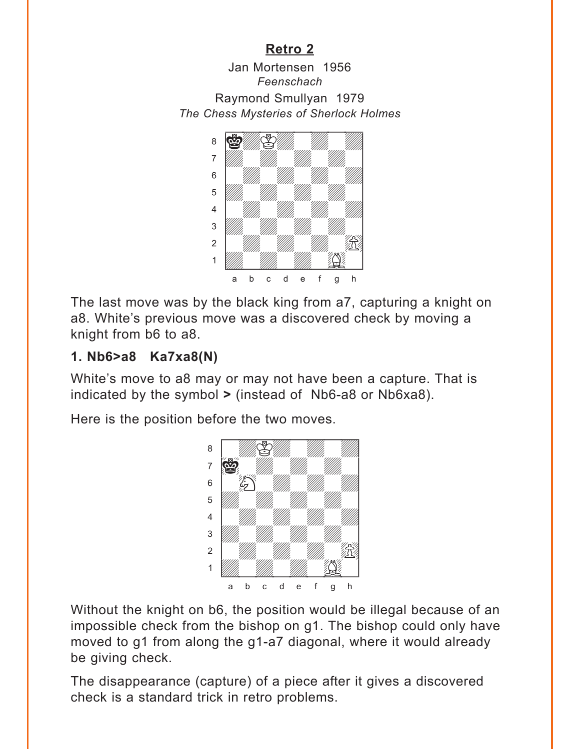<span id="page-7-0"></span>Jan Mortensen 1956 *Feenschach* Raymond Smullyan 1979 *The Chess Mysteries of Sherlock Holmes* w\_\_\_\_\_\_\_\_w



The last move was by the black king from a7, capturing a knight on a8. White's previous move was a discovered check by moving a knight from b6 to a8.

## **1. Nb6>a8 Ka7xa8(N)**

White's move to a8 may or may not have been a capture. That is indicated by the symbol **>** (instead of Nb6-a8 or Nb6xa8).

Here is the position before the two moves.



Without the knight on b6, the position would be illegal because of an impossible check from the bishop on g1. The bishop could only have moved to g1 from along the g1-a7 diagonal, where it would already be giving check.

The disappearance (capture) of a piece after it gives a discovered check is a standard trick in retro problems.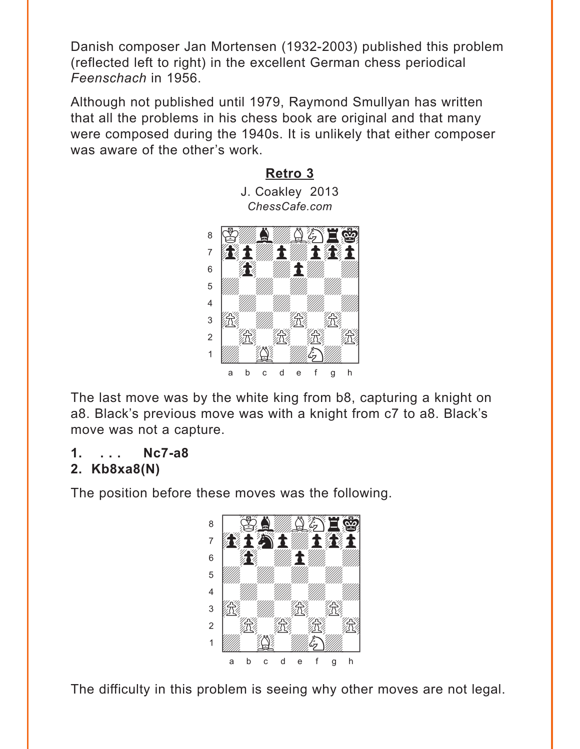<span id="page-8-0"></span>Danish composer Jan Mortensen (1932-2003) published this problem (reflected left to right) in the excellent German chess periodical *Feenschach* in 1956.

Although not published until 1979, Raymond Smullyan has written that all the problems in his chess book are original and that many were composed during the 1940s. It is unlikely that either composer was aware of the other's work.

**[Retro 3](#page-2-0)**



The last move was by the white king from b8, capturing a knight on a8. Black's previous move was with a knight from c7 to a8. Black's move was not a capture.

## **1. . . . Nc7-a8**

## **2. Kb8xa8(N)**

The position before these moves was the following.



The difficulty in this problem is seeing why other moves are not legal.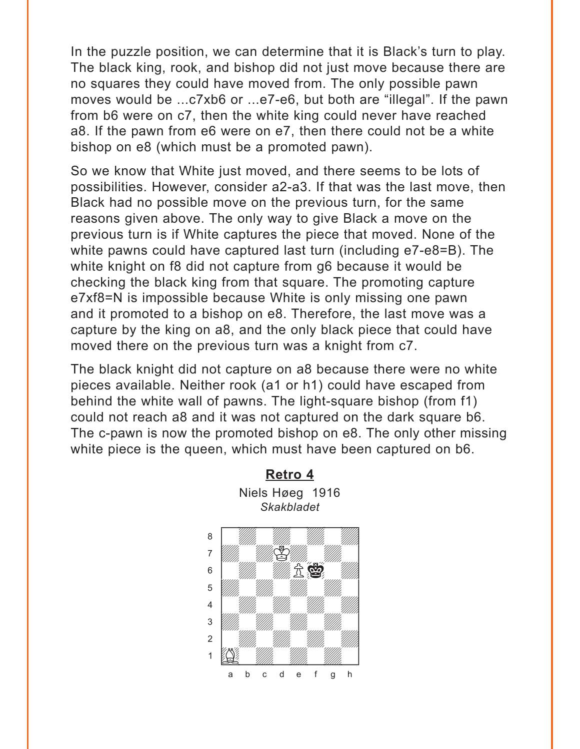<span id="page-9-0"></span>In the puzzle position, we can determine that it is Black's turn to play. The black king, rook, and bishop did not just move because there are no squares they could have moved from. The only possible pawn moves would be ...c7xb6 or ...e7-e6, but both are "illegal". If the pawn from b6 were on c7, then the white king could never have reached a8. If the pawn from e6 were on e7, then there could not be a white bishop on e8 (which must be a promoted pawn).

So we know that White just moved, and there seems to be lots of possibilities. However, consider a2-a3. If that was the last move, then Black had no possible move on the previous turn, for the same reasons given above. The only way to give Black a move on the previous turn is if White captures the piece that moved. None of the white pawns could have captured last turn (including e7-e8=B). The white knight on f8 did not capture from g6 because it would be checking the black king from that square. The promoting capture e7xf8=N is impossible because White is only missing one pawn and it promoted to a bishop on e8. Therefore, the last move was a capture by the king on a8, and the only black piece that could have moved there on the previous turn was a knight from c7.

The black knight did not capture on a8 because there were no white pieces available. Neither rook (a1 or h1) could have escaped from behind the white wall of pawns. The light-square bishop (from f1) could not reach a8 and it was not captured on the dark square b6. The c-pawn is now the promoted bishop on e8. The only other missing white piece is the queen, which must have been captured on b6.

**[Retro 4](#page-2-0)**

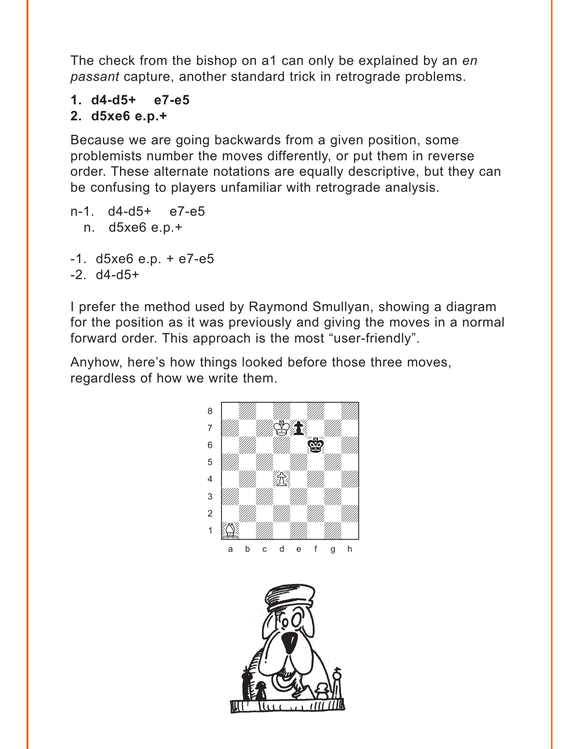The check from the bishop on a1 can only be explained by an *en passant* capture, another standard trick in retrograde problems.

- **1. d4-d5+ e7-e5**
- **2. d5xe6 e.p.+**

Because we are going backwards from a given position, some problemists number the moves differently, or put them in reverse order. These alternate notations are equally descriptive, but they can be confusing to players unfamiliar with retrograde analysis.

- n-1. d4-d5+ e7-e5 n. d5xe6 e.p.+
- $-1.$  d5xe6 e.p. + e7 $-$ e5
- $-2.$  d4 $-$ d5 $+$

I prefer the method used by Raymond Smullyan, showing a diagram for the position as it was previously and giving the moves in a normal forward order. This approach is the most "user-friendly".

Anyhow, here's how things looked before those three moves, regardless of how we write them.



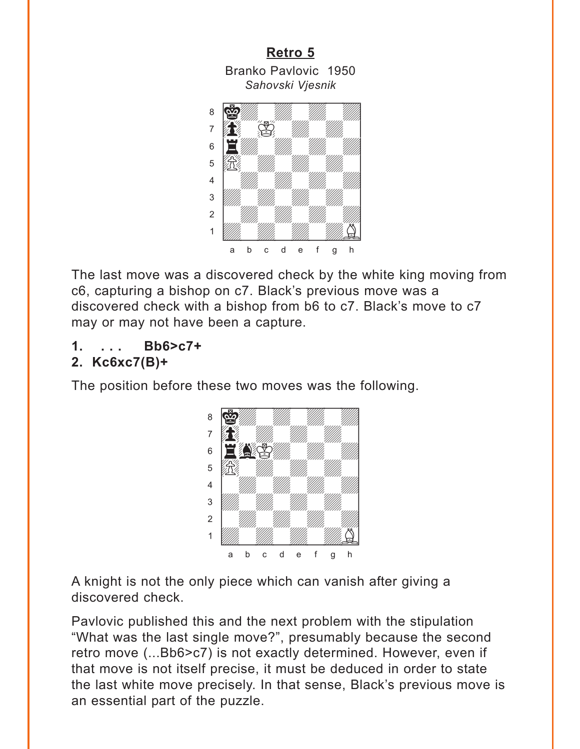<span id="page-11-0"></span>



The last move was a discovered check by the white king moving from c6, capturing a bishop on c7. Black's previous move was a discovered check with a bishop from b6 to c7. Black's move to c7 may or may not have been a capture.

#### **1. . . . Bb6>c7+ 2. Kc6xc7(B)+**

The position before these two moves was the following.



A knight is not the only piece which can vanish after giving a discovered check.

Pavlovic published this and the next problem with the stipulation "What was the last single move?", presumably because the second retro move (...Bb6>c7) is not exactly determined. However, even if that move is not itself precise, it must be deduced in order to state the last white move precisely. In that sense, Black's previous move is an essential part of the puzzle.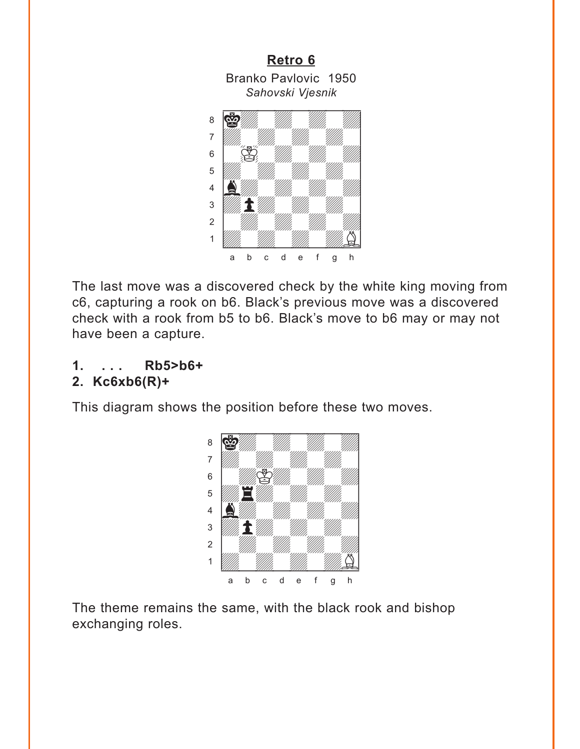<span id="page-12-0"></span>

The last move was a discovered check by the white king moving from c6, capturing a rook on b6. Black's previous move was a discovered check with a rook from b5 to b6. Black's move to b6 may or may not have been a capture.

### **1. . . . Rb5>b6+ 2. Kc6xb6(R)+**

This diagram shows the position before these two moves.



The theme remains the same, with the black rook and bishop exchanging roles.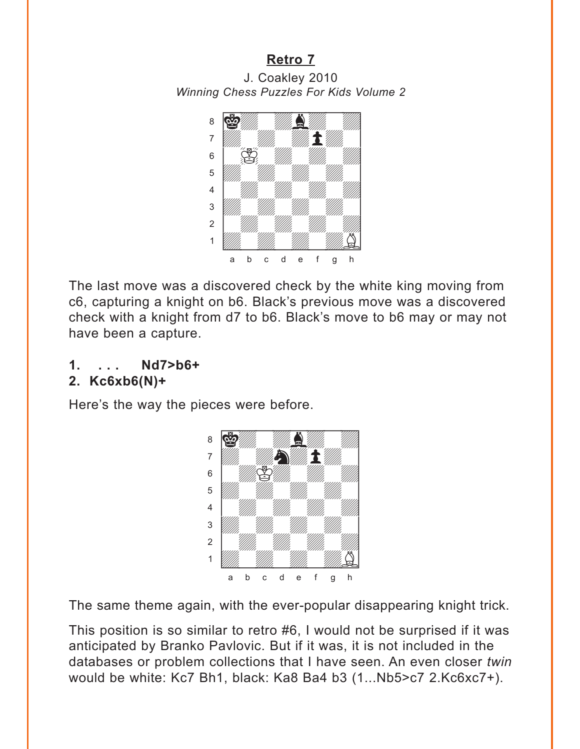<span id="page-13-0"></span>J. Coakley 2010 *Winning Chess Puzzles For Kids Volume 2*



The last move was a discovered check by the white king moving from c6, capturing a knight on b6. Black's previous move was a discovered check with a knight from d7 to b6. Black's move to b6 may or may not have been a capture.

**1. . . . Nd7>b6+** 

## **2. Kc6xb6(N)+**

Here's the way the pieces were before.



The same theme again, with the ever-popular disappearing knight trick.

This position is so similar to retro #6, I would not be surprised if it was anticipated by Branko Pavlovic. But if it was, it is not included in the databases or problem collections that I have seen. An even closer *twin* would be white: Kc7 Bh1, black: Ka8 Ba4 b3 (1...Nb5>c7 2.Kc6xc7+).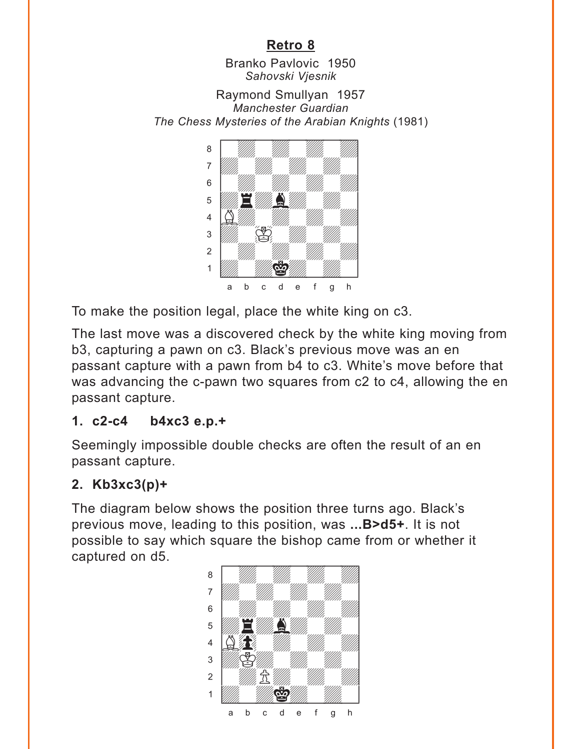Branko Pavlovic 1950 *Sahovski Vjesnik*

<span id="page-14-0"></span>Raymond Smullyan 1957 *Manchester Guardian The Chess Mysteries of the Arabian Knights* (1981) w\_\_\_\_\_\_\_\_w



To make the position legal, place the white king on c3.

The last move was a discovered check by the white king moving from b3, capturing a pawn on c3. Black's previous move was an en passant capture with a pawn from b4 to c3. White's move before that was advancing the c-pawn two squares from c2 to c4, allowing the en passant capture.

## **1. c2-c4 b4xc3 e.p.+**

Seemingly impossible double checks are often the result of an en passant capture.

## **2. Kb3xc3(p)+**

The diagram below shows the position three turns ago. Black's previous move, leading to this position, was **...B>d5+**. It is not possible to say which square the bishop came from or whether it captured on d5. with the set of the set of the set of the set of the set of the set of the set of the set of the set of the set of the set of the set of the set of the set of the set of the set of the set of the set of the set of the set

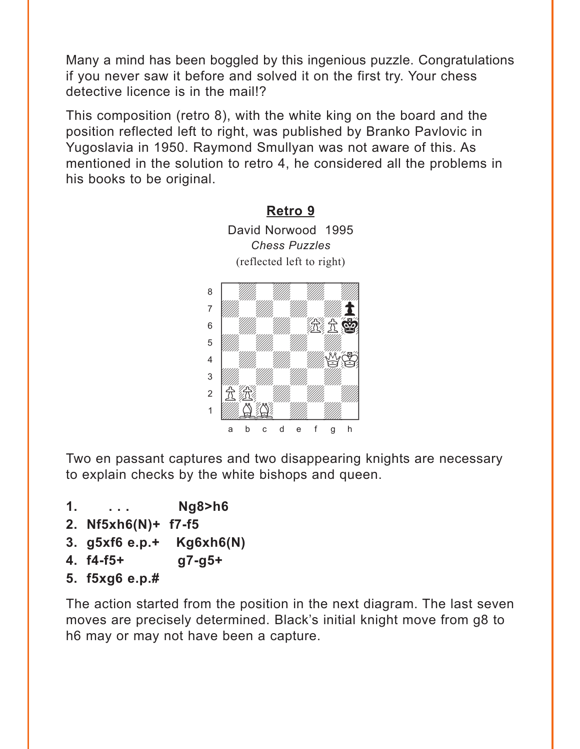<span id="page-15-0"></span>Many a mind has been boggled by this ingenious puzzle. Congratulations if you never saw it before and solved it on the first try. Your chess detective licence is in the mail!?

This composition (retro 8), with the white king on the board and the position reflected left to right, was published by Branko Pavlovic in Yugoslavia in 1950. Raymond Smullyan was not aware of this. As mentioned in the solution to retro 4, he considered all the problems in his books to be original.



Two en passant captures and two disappearing knights are necessary to explain checks by the white bishops and queen.

- **1. . . . Ng8>h6**
- **2. Nf5xh6(N)+ f7-f5**
- **3. g5xf6 e.p.+ Kg6xh6(N)**
- **4. f4-f5+ g7-g5+**
- **5. f5xg6 e.p.#**

The action started from the position in the next diagram. The last seven moves are precisely determined. Black's initial knight move from g8 to h6 may or may not have been a capture.